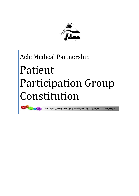

# Acle Medical Partnership Patient Participation Group Constitution

**ACLE PATIENT PARTICIPATION GROUP**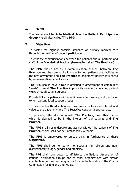#### **1. Name**

The Name shall be **Acle Medical Practice Patient Participation Group -**hereinafter called **'The PPG'**

#### **2. Objectives**

To foster the highest possible standard of primary medical care through the medium of patient participation.

To enhance communications between the patients and all partners and staff of the Acle Medical Practice. (hereinafter called '**The Practice**')

**The PPG** should act as a communication channel between **The Practice** and the community in order to help patients use facilities to the best advantage and **The Practice** to implement policies influenced by representative patient views.

**The PPG** should have a role in assisting in assessment of community 'needs' to assist **The Practice** improve its service by collating patient views through patient surveys.

Provide links for patients with specific needs to form support groups or to join existing local support groups.

To promote health education and awareness on topics of interest and value to the patients where **The Practice** consider it appropriate.

To promote, after discussion with **The Practice**, any other matter which is deemed to be in the interest of the patients and **The Practice.**

**The PPG** shall not undertake any activity without the consent of **The Practice**, which shall not be unreasonably withheld.

**The PPG** is empowered to pursue aims in furtherance of these **Objectives**.

**The PPG** shall be non-party, non-sectarian in religion and nondiscriminatory in age, gender and ethnicity.

**The PPG** shall have power to affiliate to the National Association of Patient Participation Groups and to other organisations with similar charitable objectives and may apply for charitable status to the Charity Commission for England and Wales.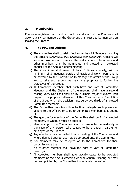#### **3. Membership**

Everyone registered with and all doctors and staff of the Practice shall automatically be members of the Group but shall cease to be members on leaving the Practice.

## **4. The PPG and Officers**

- a) The committee shall consist of not more than 15 Members including the officers (Chairman, Vice-Chairman and Secretary). Officers will serve a maximum of 3 years in the first instance. The officers and other members shall be nominated and elected or re-elected annually at the Annual General Meeting.
- b) The Committee shall meet at least 6 times annually, with a minimum of 3 meetings outside of traditional work hours and is empowered by this Constitution to manage the affairs of the Group and to take such actions as may be appropriate to further the Objectives of the Group.
- c) All Committee members shall each have one vote at Committee Meetings and the Chairman of the meeting shall have a second casting vote. Decisions shall be by a simple majority except with respect to a proposed alteration of this Constitution or Dissolution of the Group when the decision must be by two thirds of all elected Committee members.
- d) The Committee may from time to time delegate such powers or actions to the Officers or to other Committee members as it deems fit.
- e) The quorum for meetings of the Committee shall be 5 of all elected members, of whom 2 must be officers.
- f) Membership of the Committee shall be terminated immediately in the case of any person who ceases to be a patient, partner or employee of the Practice.
- g) Any members may be invited to any meeting of the Committee and where deemed appropriate may be co-opted onto the Committee.
- h) Non-members may be co-opted on to the Committee for their particular expertise.
- i) No co-opted member shall have the right to vote at Committee meetings
- j) All co-opted members shall automatically cease to be co-opted members at the next succeeding Annual General Meeting but may be re-appointed by the Committee immediately thereafter.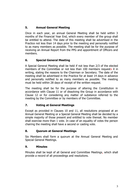## **5. Annual General Meeting**

Once in each year, an annual General Meeting shall be held within 3 months of the Financial Year End, which every member of the group shall be entitled to attend. The date of this meeting shall be advertised in the Practice not less than 14 days prior to the meeting and personally notified to as many members as possible. The meeting shall be for the purpose of receiving an Annual Report from the PPG and appointment of Officers and members.

## **6. Special General Meeting**

A Special General Meeting shall be held if not less than 2/3 of the elected members of the Committee or not less than 100 members requests it in writing, stating the reasons to the Chairman or Secretary. The date of the meeting shall be advertised in the Practice for at least 14 days in advance and personally notified to as many members as possible. The meeting must be held within 28 days of receipt of the written request.

The meeting shall be for the purpose of altering the Constitution in accordance with Clause 11 or of dissolving the Group in accordance with Clause 12 or for considering any matter of substance referred to the meeting by the Committee or by members of the Committee.

#### **7. Voting at General Meetings**

Except as provided in Clauses 10 and 11, all resolutions proposed at an Annual General Meeting or a Special General Meeting shall be decided by a simple majority of those present and entitled to vote thereat. No member shall exercise more than 1 vote. In case of an equality of votes the person chairing the meeting shall have a second or casting vote.

#### **8. Quorum at General Meetings**

Six Members shall form a quorum at the Annual General Meeting and Special General Meetings.

#### **9. Minutes**

Minutes shall be kept of all General and Committee Meetings, which shall provide a record of all proceedings and resolutions.